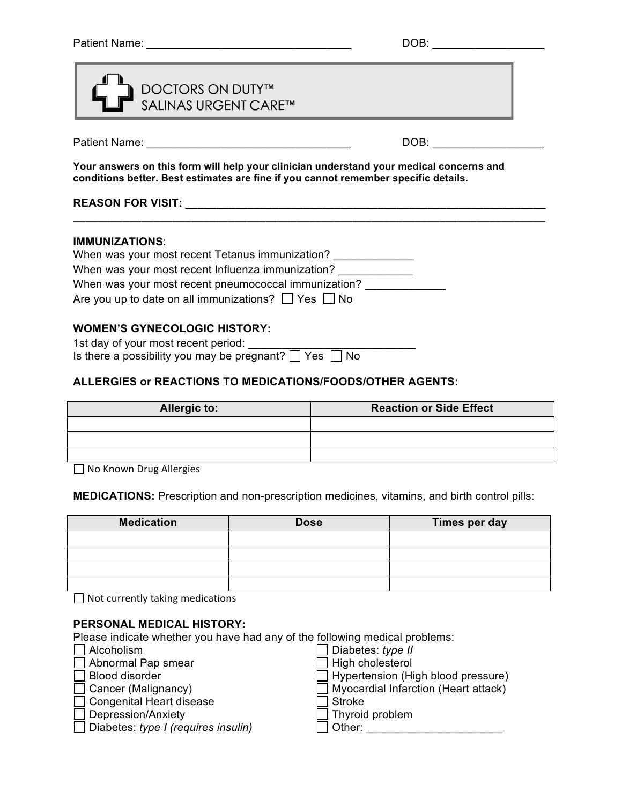| <b>DOCTORS ON DUTY™<br/>SALINAS URGENT CARE™</b> |
|--------------------------------------------------|
|                                                  |

Patient Name: \_\_\_\_\_\_\_\_\_\_\_\_\_\_\_\_\_\_\_\_\_\_\_\_\_\_\_\_\_\_\_\_\_ DOB: \_\_\_\_\_\_\_\_\_\_\_\_\_\_\_\_\_\_

**Your answers on this form will help your clinician understand your medical concerns and conditions better. Best estimates are fine if you cannot remember specific details.**

**\_\_\_\_\_\_\_\_\_\_\_\_\_\_\_\_\_\_\_\_\_\_\_\_\_\_\_\_\_\_\_\_\_\_\_\_\_\_\_\_\_\_\_\_\_\_\_\_\_\_\_\_\_\_\_\_\_\_\_\_\_\_\_\_\_\_\_\_\_\_\_\_\_\_\_\_**

# **REASON FOR VISIT: \_\_\_\_\_\_\_\_\_\_\_\_\_\_\_\_\_\_\_\_\_\_\_\_\_\_\_\_\_\_\_\_\_\_\_\_\_\_\_\_\_\_\_\_\_\_\_\_\_\_\_\_\_\_\_\_\_\_**

#### **IMMUNIZATIONS**:

| When was your most recent Tetanus immunization?               |  |
|---------------------------------------------------------------|--|
| When was your most recent Influenza immunization?             |  |
| When was your most recent pneumococcal immunization?          |  |
| Are you up to date on all immunizations? $\Box$ Yes $\Box$ No |  |

## **WOMEN'S GYNECOLOGIC HISTORY:**

| 1st day of your most recent period:                              |  |
|------------------------------------------------------------------|--|
| Is there a possibility you may be pregnant? $\Box$ Yes $\Box$ No |  |

## **ALLERGIES or REACTIONS TO MEDICATIONS/FOODS/OTHER AGENTS:**

| <b>Allergic to:</b> | <b>Reaction or Side Effect</b> |
|---------------------|--------------------------------|
|                     |                                |
|                     |                                |
|                     |                                |

 $\Box$  No Known Drug Allergies

**MEDICATIONS:** Prescription and non-prescription medicines, vitamins, and birth control pills:

| <b>Medication</b> | <b>Dose</b> | Times per day |
|-------------------|-------------|---------------|
|                   |             |               |
|                   |             |               |
|                   |             |               |
|                   |             |               |

 $\Box$  Not currently taking medications

#### **PERSONAL MEDICAL HISTORY:**

Please indicate whether you have had any of the following medical problems:

| Alcoholism                                 | Diabetes: $type II$                         |
|--------------------------------------------|---------------------------------------------|
| Abnormal Pap smear                         | $\Box$ High cholesterol                     |
| Blood disorder                             | $\Box$ Hypertension (High blood pressure)   |
| $\Box$ Cancer (Malignancy)                 | $\Box$ Myocardial Infarction (Heart attack) |
| □ Congenital Heart disease                 | l Stroke                                    |
| $\Box$ Depression/Anxiety                  | $\Box$ Thyroid problem                      |
| $\Box$ Diabetes: type I (requires insulin) | Other:                                      |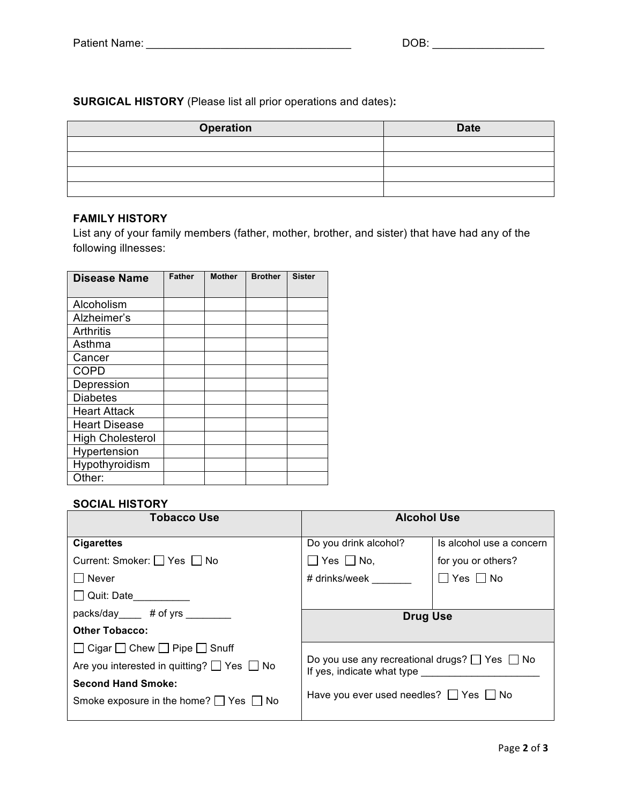**SURGICAL HISTORY** (Please list all prior operations and dates)**:**

| <b>Operation</b> | <b>Date</b> |
|------------------|-------------|
|                  |             |
|                  |             |
|                  |             |
|                  |             |

## **FAMILY HISTORY**

List any of your family members (father, mother, brother, and sister) that have had any of the following illnesses:

| <b>Disease Name</b>     | <b>Father</b> | <b>Mother</b> | <b>Brother</b> | <b>Sister</b> |
|-------------------------|---------------|---------------|----------------|---------------|
|                         |               |               |                |               |
| Alcoholism              |               |               |                |               |
| Alzheimer's             |               |               |                |               |
| Arthritis               |               |               |                |               |
| Asthma                  |               |               |                |               |
| Cancer                  |               |               |                |               |
| <b>COPD</b>             |               |               |                |               |
| Depression              |               |               |                |               |
| <b>Diabetes</b>         |               |               |                |               |
| <b>Heart Attack</b>     |               |               |                |               |
| <b>Heart Disease</b>    |               |               |                |               |
| <b>High Cholesterol</b> |               |               |                |               |
| Hypertension            |               |               |                |               |
| Hypothyroidism          |               |               |                |               |
| Other:                  |               |               |                |               |

#### **SOCIAL HISTORY**

| <b>Tobacco Use</b>                                   | <b>Alcohol Use</b>                                                                                                                        |                          |
|------------------------------------------------------|-------------------------------------------------------------------------------------------------------------------------------------------|--------------------------|
| <b>Cigarettes</b>                                    | Do you drink alcohol?                                                                                                                     | Is alcohol use a concern |
| Current: Smoker: □ Yes □ No                          | $\Box$ Yes $\Box$ No,                                                                                                                     | for you or others?       |
| <b>Never</b>                                         | # drinks/week                                                                                                                             | $\Box$ Yes $\Box$ No     |
| Quit: Date                                           |                                                                                                                                           |                          |
| packs/day # of yrs                                   | <b>Drug Use</b>                                                                                                                           |                          |
| <b>Other Tobacco:</b>                                |                                                                                                                                           |                          |
| $\Box$ Cigar $\Box$ Chew $\Box$ Pipe $\Box$ Snuff    |                                                                                                                                           |                          |
| Are you interested in quitting? $\Box$ Yes $\Box$ No | Do you use any recreational drugs? $\Box$ Yes $\Box$ No<br>If yes, indicate what type<br>Have you ever used needles? $\Box$ Yes $\Box$ No |                          |
| <b>Second Hand Smoke:</b>                            |                                                                                                                                           |                          |
| Smoke exposure in the home? $\Box$ Yes $\Box$ No     |                                                                                                                                           |                          |